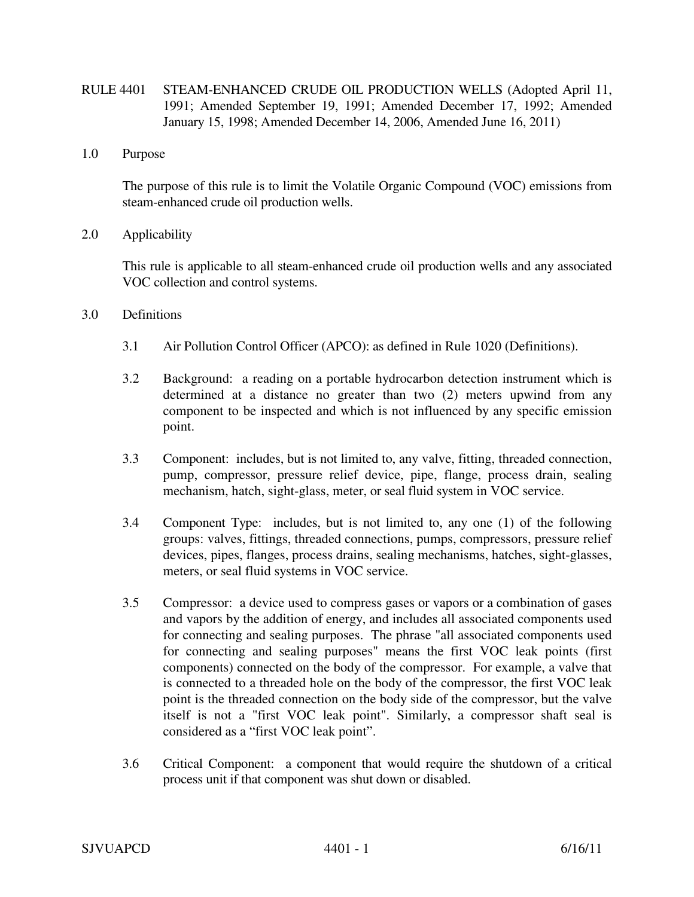- RULE 4401 STEAM-ENHANCED CRUDE OIL PRODUCTION WELLS (Adopted April 11, 1991; Amended September 19, 1991; Amended December 17, 1992; Amended January 15, 1998; Amended December 14, 2006, Amended June 16, 2011)
- 1.0 Purpose

The purpose of this rule is to limit the Volatile Organic Compound (VOC) emissions from steam-enhanced crude oil production wells.

2.0 Applicability

This rule is applicable to all steam-enhanced crude oil production wells and any associated VOC collection and control systems.

- 3.0 Definitions
	- 3.1 Air Pollution Control Officer (APCO): as defined in Rule 1020 (Definitions).
	- 3.2 Background: a reading on a portable hydrocarbon detection instrument which is determined at a distance no greater than two (2) meters upwind from any component to be inspected and which is not influenced by any specific emission point.
	- 3.3 Component: includes, but is not limited to, any valve, fitting, threaded connection, pump, compressor, pressure relief device, pipe, flange, process drain, sealing mechanism, hatch, sight-glass, meter, or seal fluid system in VOC service.
	- 3.4 Component Type: includes, but is not limited to, any one (1) of the following groups: valves, fittings, threaded connections, pumps, compressors, pressure relief devices, pipes, flanges, process drains, sealing mechanisms, hatches, sight-glasses, meters, or seal fluid systems in VOC service.
	- 3.5 Compressor: a device used to compress gases or vapors or a combination of gases and vapors by the addition of energy, and includes all associated components used for connecting and sealing purposes. The phrase "all associated components used for connecting and sealing purposes" means the first VOC leak points (first components) connected on the body of the compressor. For example, a valve that is connected to a threaded hole on the body of the compressor, the first VOC leak point is the threaded connection on the body side of the compressor, but the valve itself is not a "first VOC leak point". Similarly, a compressor shaft seal is considered as a "first VOC leak point".
	- 3.6 Critical Component: a component that would require the shutdown of a critical process unit if that component was shut down or disabled.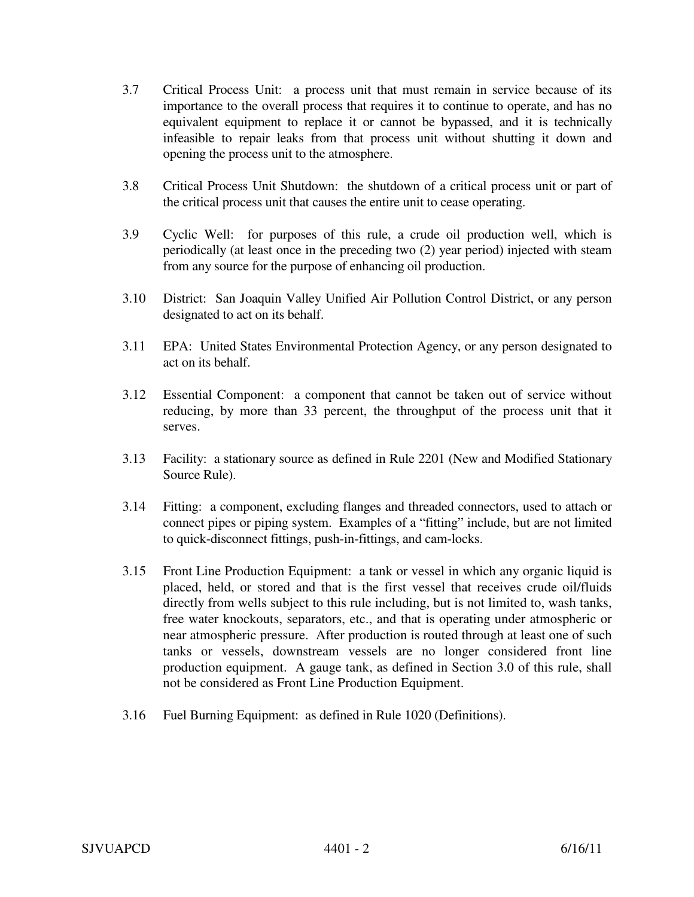- 3.7 Critical Process Unit: a process unit that must remain in service because of its importance to the overall process that requires it to continue to operate, and has no equivalent equipment to replace it or cannot be bypassed, and it is technically infeasible to repair leaks from that process unit without shutting it down and opening the process unit to the atmosphere.
- 3.8 Critical Process Unit Shutdown: the shutdown of a critical process unit or part of the critical process unit that causes the entire unit to cease operating.
- 3.9 Cyclic Well: for purposes of this rule, a crude oil production well, which is periodically (at least once in the preceding two (2) year period) injected with steam from any source for the purpose of enhancing oil production.
- 3.10 District: San Joaquin Valley Unified Air Pollution Control District, or any person designated to act on its behalf.
- 3.11 EPA: United States Environmental Protection Agency, or any person designated to act on its behalf.
- 3.12 Essential Component: a component that cannot be taken out of service without reducing, by more than 33 percent, the throughput of the process unit that it serves.
- 3.13 Facility: a stationary source as defined in Rule 2201 (New and Modified Stationary Source Rule).
- 3.14 Fitting: a component, excluding flanges and threaded connectors, used to attach or connect pipes or piping system. Examples of a "fitting" include, but are not limited to quick-disconnect fittings, push-in-fittings, and cam-locks.
- 3.15 Front Line Production Equipment: a tank or vessel in which any organic liquid is placed, held, or stored and that is the first vessel that receives crude oil/fluids directly from wells subject to this rule including, but is not limited to, wash tanks, free water knockouts, separators, etc., and that is operating under atmospheric or near atmospheric pressure. After production is routed through at least one of such tanks or vessels, downstream vessels are no longer considered front line production equipment. A gauge tank, as defined in Section 3.0 of this rule, shall not be considered as Front Line Production Equipment.
- 3.16 Fuel Burning Equipment: as defined in Rule 1020 (Definitions).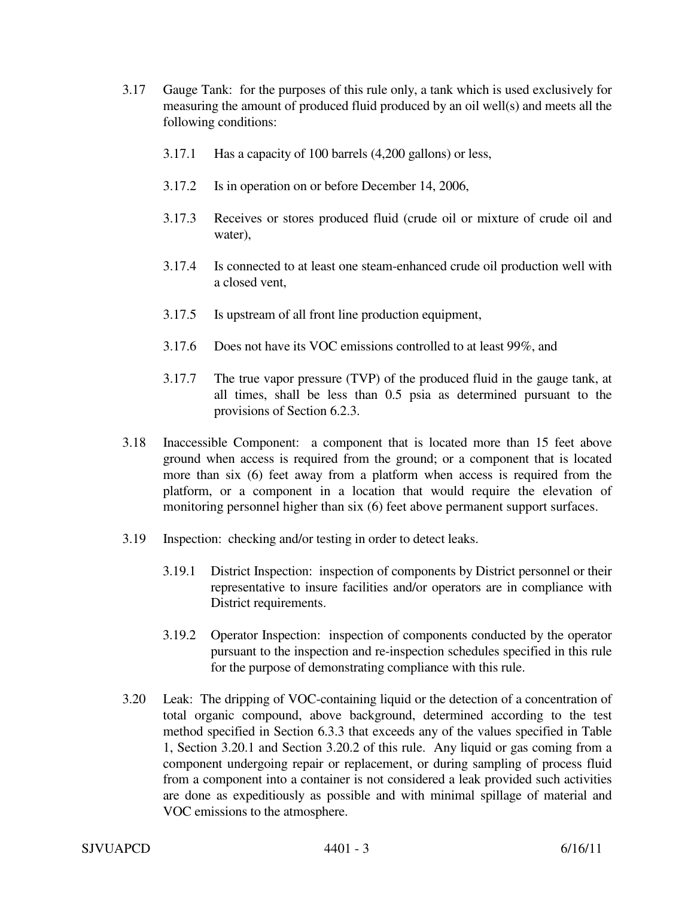- 3.17 Gauge Tank: for the purposes of this rule only, a tank which is used exclusively for measuring the amount of produced fluid produced by an oil well(s) and meets all the following conditions:
	- 3.17.1 Has a capacity of 100 barrels (4,200 gallons) or less,
	- 3.17.2 Is in operation on or before December 14, 2006,
	- 3.17.3 Receives or stores produced fluid (crude oil or mixture of crude oil and water),
	- 3.17.4 Is connected to at least one steam-enhanced crude oil production well with a closed vent,
	- 3.17.5 Is upstream of all front line production equipment,
	- 3.17.6 Does not have its VOC emissions controlled to at least 99%, and
	- 3.17.7 The true vapor pressure (TVP) of the produced fluid in the gauge tank, at all times, shall be less than 0.5 psia as determined pursuant to the provisions of Section 6.2.3.
- 3.18 Inaccessible Component: a component that is located more than 15 feet above ground when access is required from the ground; or a component that is located more than six (6) feet away from a platform when access is required from the platform, or a component in a location that would require the elevation of monitoring personnel higher than six (6) feet above permanent support surfaces.
- 3.19 Inspection: checking and/or testing in order to detect leaks.
	- 3.19.1 District Inspection: inspection of components by District personnel or their representative to insure facilities and/or operators are in compliance with District requirements.
	- 3.19.2 Operator Inspection: inspection of components conducted by the operator pursuant to the inspection and re-inspection schedules specified in this rule for the purpose of demonstrating compliance with this rule.
- 3.20 Leak: The dripping of VOC-containing liquid or the detection of a concentration of total organic compound, above background, determined according to the test method specified in Section 6.3.3 that exceeds any of the values specified in Table 1, Section 3.20.1 and Section 3.20.2 of this rule. Any liquid or gas coming from a component undergoing repair or replacement, or during sampling of process fluid from a component into a container is not considered a leak provided such activities are done as expeditiously as possible and with minimal spillage of material and VOC emissions to the atmosphere.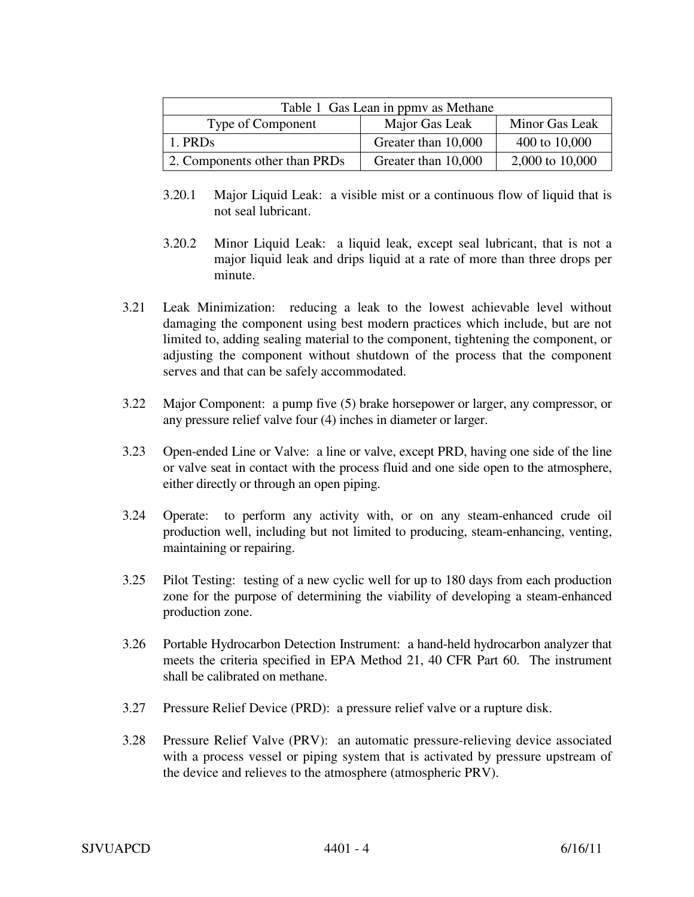| Table 1 Gas Lean in ppmy as Methane |                     |                 |  |
|-------------------------------------|---------------------|-----------------|--|
| Type of Component                   | Major Gas Leak      | Minor Gas Leak  |  |
| 1. PRDs                             | Greater than 10,000 | 400 to 10,000   |  |
| 2. Components other than PRDs       | Greater than 10,000 | 2,000 to 10,000 |  |

- 3.20.1 Major Liquid Leak: a visible mist or a continuous flow of liquid that is not seal lubricant.
- 3.20.2 Minor Liquid Leak: a liquid leak, except seal lubricant, that is not a major liquid leak and drips liquid at a rate of more than three drops per minute.
- 3.21 Leak Minimization: reducing a leak to the lowest achievable level without damaging the component using best modern practices which include, but are not limited to, adding sealing material to the component, tightening the component, or adjusting the component without shutdown of the process that the component serves and that can be safely accommodated.
- 3.22 Major Component: a pump five (5) brake horsepower or larger, any compressor, or any pressure relief valve four (4) inches in diameter or larger.
- 3.23 Open-ended Line or Valve: a line or valve, except PRD, having one side of the line or valve seat in contact with the process fluid and one side open to the atmosphere, either directly or through an open piping.
- 3.24 Operate: to perform any activity with, or on any steam-enhanced crude oil production well, including but not limited to producing, steam-enhancing, venting, maintaining or repairing.
- 3.25 Pilot Testing: testing of a new cyclic well for up to 180 days from each production zone for the purpose of determining the viability of developing a steam-enhanced production zone.
- 3.26 Portable Hydrocarbon Detection Instrument: a hand-held hydrocarbon analyzer that meets the criteria specified in EPA Method 21, 40 CFR Part 60. The instrument shall be calibrated on methane.
- 3.27 Pressure Relief Device (PRD): a pressure relief valve or a rupture disk.
- 3.28 Pressure Relief Valve (PRV): an automatic pressure-relieving device associated with a process vessel or piping system that is activated by pressure upstream of the device and relieves to the atmosphere (atmospheric PRV).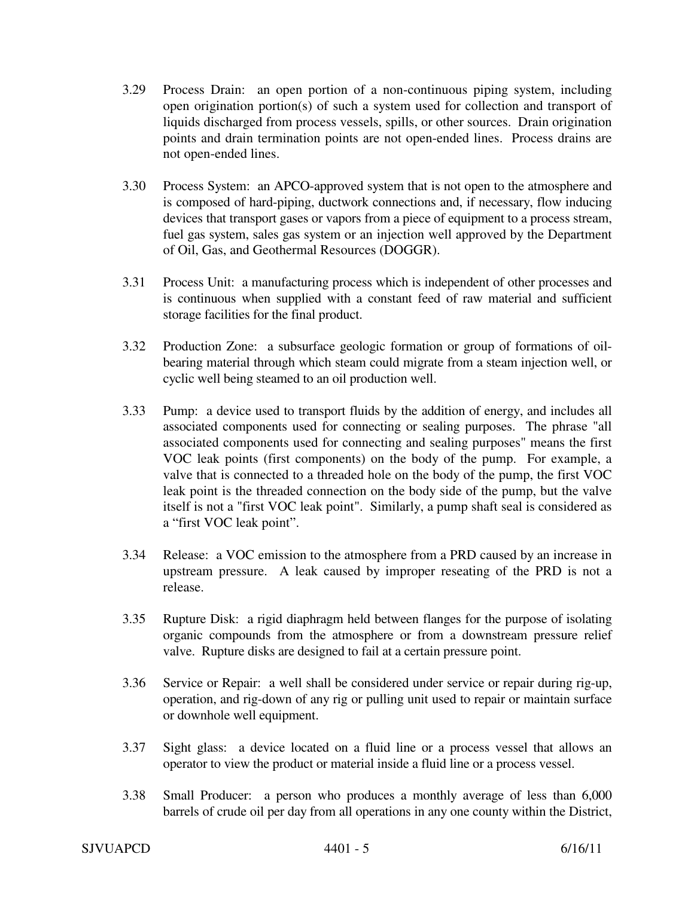- 3.29 Process Drain: an open portion of a non-continuous piping system, including open origination portion(s) of such a system used for collection and transport of liquids discharged from process vessels, spills, or other sources. Drain origination points and drain termination points are not open-ended lines. Process drains are not open-ended lines.
- 3.30 Process System: an APCO-approved system that is not open to the atmosphere and is composed of hard-piping, ductwork connections and, if necessary, flow inducing devices that transport gases or vapors from a piece of equipment to a process stream, fuel gas system, sales gas system or an injection well approved by the Department of Oil, Gas, and Geothermal Resources (DOGGR).
- 3.31 Process Unit: a manufacturing process which is independent of other processes and is continuous when supplied with a constant feed of raw material and sufficient storage facilities for the final product.
- 3.32 Production Zone: a subsurface geologic formation or group of formations of oilbearing material through which steam could migrate from a steam injection well, or cyclic well being steamed to an oil production well.
- 3.33 Pump: a device used to transport fluids by the addition of energy, and includes all associated components used for connecting or sealing purposes. The phrase "all associated components used for connecting and sealing purposes" means the first VOC leak points (first components) on the body of the pump. For example, a valve that is connected to a threaded hole on the body of the pump, the first VOC leak point is the threaded connection on the body side of the pump, but the valve itself is not a "first VOC leak point". Similarly, a pump shaft seal is considered as a "first VOC leak point".
- 3.34 Release: a VOC emission to the atmosphere from a PRD caused by an increase in upstream pressure. A leak caused by improper reseating of the PRD is not a release.
- 3.35 Rupture Disk: a rigid diaphragm held between flanges for the purpose of isolating organic compounds from the atmosphere or from a downstream pressure relief valve. Rupture disks are designed to fail at a certain pressure point.
- 3.36 Service or Repair: a well shall be considered under service or repair during rig-up, operation, and rig-down of any rig or pulling unit used to repair or maintain surface or downhole well equipment.
- 3.37 Sight glass: a device located on a fluid line or a process vessel that allows an operator to view the product or material inside a fluid line or a process vessel.
- 3.38 Small Producer: a person who produces a monthly average of less than 6,000 barrels of crude oil per day from all operations in any one county within the District,

# $SJVUAPCD$   $4401 - 5$   $6/16/11$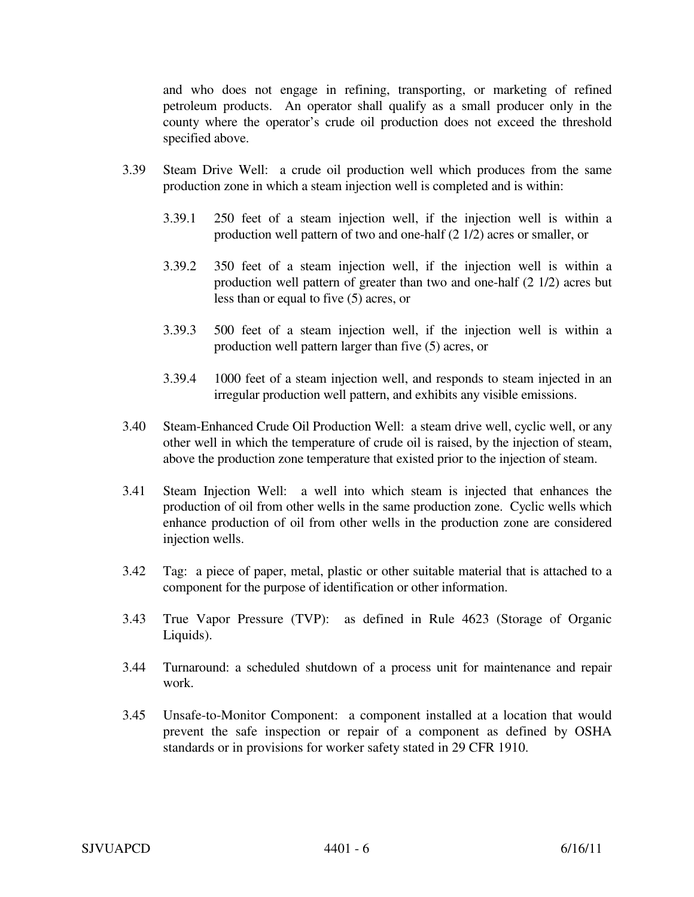and who does not engage in refining, transporting, or marketing of refined petroleum products. An operator shall qualify as a small producer only in the county where the operator's crude oil production does not exceed the threshold specified above.

- 3.39 Steam Drive Well: a crude oil production well which produces from the same production zone in which a steam injection well is completed and is within:
	- 3.39.1 250 feet of a steam injection well, if the injection well is within a production well pattern of two and one-half (2 1/2) acres or smaller, or
	- 3.39.2 350 feet of a steam injection well, if the injection well is within a production well pattern of greater than two and one-half (2 1/2) acres but less than or equal to five (5) acres, or
	- 3.39.3 500 feet of a steam injection well, if the injection well is within a production well pattern larger than five (5) acres, or
	- 3.39.4 1000 feet of a steam injection well, and responds to steam injected in an irregular production well pattern, and exhibits any visible emissions.
- 3.40 Steam-Enhanced Crude Oil Production Well: a steam drive well, cyclic well, or any other well in which the temperature of crude oil is raised, by the injection of steam, above the production zone temperature that existed prior to the injection of steam.
- 3.41 Steam Injection Well: a well into which steam is injected that enhances the production of oil from other wells in the same production zone. Cyclic wells which enhance production of oil from other wells in the production zone are considered injection wells.
- 3.42 Tag: a piece of paper, metal, plastic or other suitable material that is attached to a component for the purpose of identification or other information.
- 3.43 True Vapor Pressure (TVP): as defined in Rule 4623 (Storage of Organic Liquids).
- 3.44 Turnaround: a scheduled shutdown of a process unit for maintenance and repair work.
- 3.45 Unsafe-to-Monitor Component: a component installed at a location that would prevent the safe inspection or repair of a component as defined by OSHA standards or in provisions for worker safety stated in 29 CFR 1910.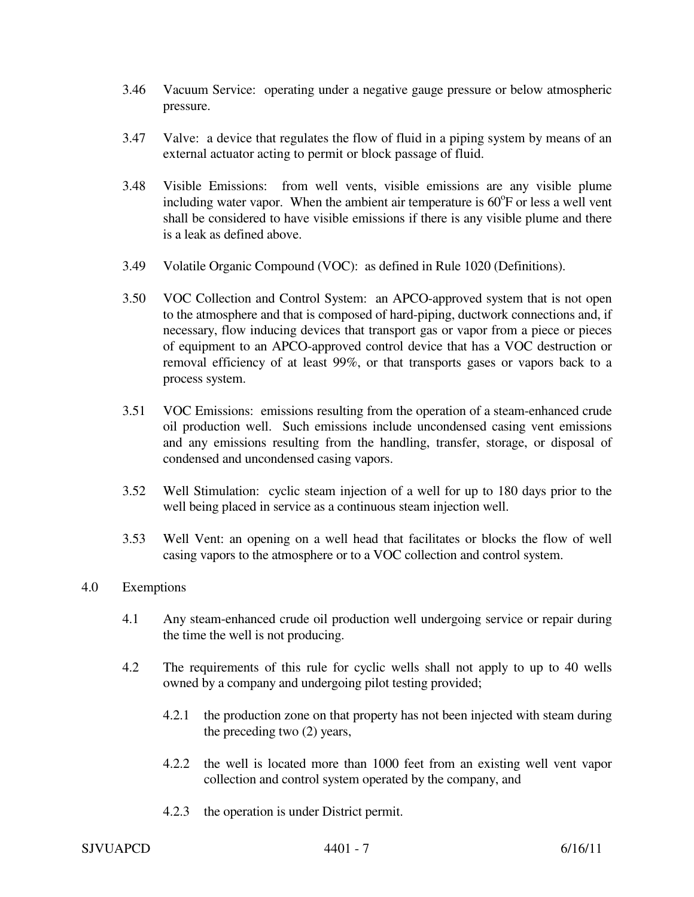- 3.46 Vacuum Service: operating under a negative gauge pressure or below atmospheric pressure.
- 3.47 Valve: a device that regulates the flow of fluid in a piping system by means of an external actuator acting to permit or block passage of fluid.
- 3.48 Visible Emissions: from well vents, visible emissions are any visible plume including water vapor. When the ambient air temperature is  $60^{\circ}$ F or less a well vent shall be considered to have visible emissions if there is any visible plume and there is a leak as defined above.
- 3.49 Volatile Organic Compound (VOC): as defined in Rule 1020 (Definitions).
- 3.50 VOC Collection and Control System: an APCO-approved system that is not open to the atmosphere and that is composed of hard-piping, ductwork connections and, if necessary, flow inducing devices that transport gas or vapor from a piece or pieces of equipment to an APCO-approved control device that has a VOC destruction or removal efficiency of at least 99%, or that transports gases or vapors back to a process system.
- 3.51 VOC Emissions: emissions resulting from the operation of a steam-enhanced crude oil production well. Such emissions include uncondensed casing vent emissions and any emissions resulting from the handling, transfer, storage, or disposal of condensed and uncondensed casing vapors.
- 3.52 Well Stimulation: cyclic steam injection of a well for up to 180 days prior to the well being placed in service as a continuous steam injection well.
- 3.53 Well Vent: an opening on a well head that facilitates or blocks the flow of well casing vapors to the atmosphere or to a VOC collection and control system.

## 4.0 Exemptions

- 4.1 Any steam-enhanced crude oil production well undergoing service or repair during the time the well is not producing.
- 4.2 The requirements of this rule for cyclic wells shall not apply to up to 40 wells owned by a company and undergoing pilot testing provided;
	- 4.2.1 the production zone on that property has not been injected with steam during the preceding two (2) years,
	- 4.2.2 the well is located more than 1000 feet from an existing well vent vapor collection and control system operated by the company, and
	- 4.2.3 the operation is under District permit.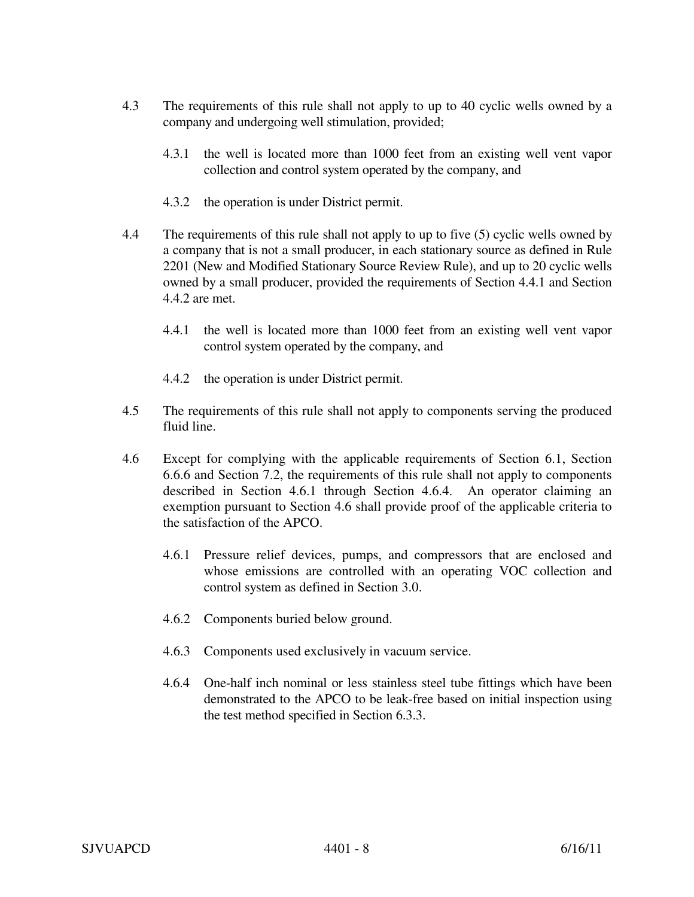- 4.3 The requirements of this rule shall not apply to up to 40 cyclic wells owned by a company and undergoing well stimulation, provided;
	- 4.3.1 the well is located more than 1000 feet from an existing well vent vapor collection and control system operated by the company, and
	- 4.3.2 the operation is under District permit.
- 4.4 The requirements of this rule shall not apply to up to five (5) cyclic wells owned by a company that is not a small producer, in each stationary source as defined in Rule 2201 (New and Modified Stationary Source Review Rule), and up to 20 cyclic wells owned by a small producer, provided the requirements of Section 4.4.1 and Section 4.4.2 are met.
	- 4.4.1 the well is located more than 1000 feet from an existing well vent vapor control system operated by the company, and
	- 4.4.2 the operation is under District permit.
- 4.5 The requirements of this rule shall not apply to components serving the produced fluid line.
- 4.6 Except for complying with the applicable requirements of Section 6.1, Section 6.6.6 and Section 7.2, the requirements of this rule shall not apply to components described in Section 4.6.1 through Section 4.6.4. An operator claiming an exemption pursuant to Section 4.6 shall provide proof of the applicable criteria to the satisfaction of the APCO.
	- 4.6.1 Pressure relief devices, pumps, and compressors that are enclosed and whose emissions are controlled with an operating VOC collection and control system as defined in Section 3.0.
	- 4.6.2 Components buried below ground.
	- 4.6.3 Components used exclusively in vacuum service.
	- 4.6.4 One-half inch nominal or less stainless steel tube fittings which have been demonstrated to the APCO to be leak-free based on initial inspection using the test method specified in Section 6.3.3.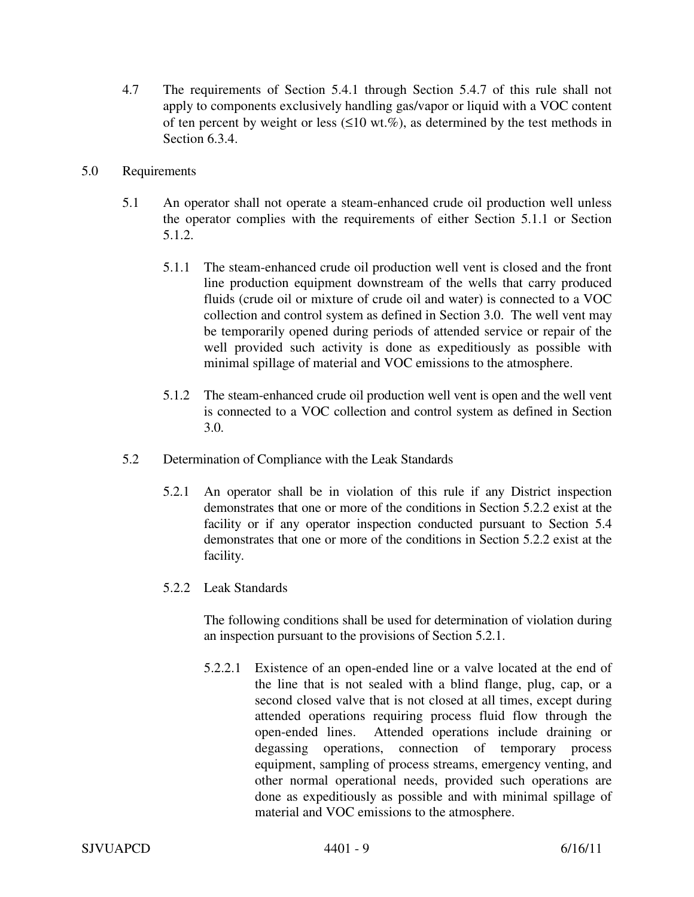- 4.7 The requirements of Section 5.4.1 through Section 5.4.7 of this rule shall not apply to components exclusively handling gas/vapor or liquid with a VOC content of ten percent by weight or less  $(\leq 10 \text{ wt.}\%)$ , as determined by the test methods in Section 6.3.4.
- 5.0 Requirements
	- 5.1 An operator shall not operate a steam-enhanced crude oil production well unless the operator complies with the requirements of either Section 5.1.1 or Section 5.1.2.
		- 5.1.1 The steam-enhanced crude oil production well vent is closed and the front line production equipment downstream of the wells that carry produced fluids (crude oil or mixture of crude oil and water) is connected to a VOC collection and control system as defined in Section 3.0. The well vent may be temporarily opened during periods of attended service or repair of the well provided such activity is done as expeditiously as possible with minimal spillage of material and VOC emissions to the atmosphere.
		- 5.1.2 The steam-enhanced crude oil production well vent is open and the well vent is connected to a VOC collection and control system as defined in Section 3.0.
	- 5.2 Determination of Compliance with the Leak Standards
		- 5.2.1 An operator shall be in violation of this rule if any District inspection demonstrates that one or more of the conditions in Section 5.2.2 exist at the facility or if any operator inspection conducted pursuant to Section 5.4 demonstrates that one or more of the conditions in Section 5.2.2 exist at the facility.
		- 5.2.2 Leak Standards

The following conditions shall be used for determination of violation during an inspection pursuant to the provisions of Section 5.2.1.

5.2.2.1 Existence of an open-ended line or a valve located at the end of the line that is not sealed with a blind flange, plug, cap, or a second closed valve that is not closed at all times, except during attended operations requiring process fluid flow through the open-ended lines. Attended operations include draining or degassing operations, connection of temporary process equipment, sampling of process streams, emergency venting, and other normal operational needs, provided such operations are done as expeditiously as possible and with minimal spillage of material and VOC emissions to the atmosphere.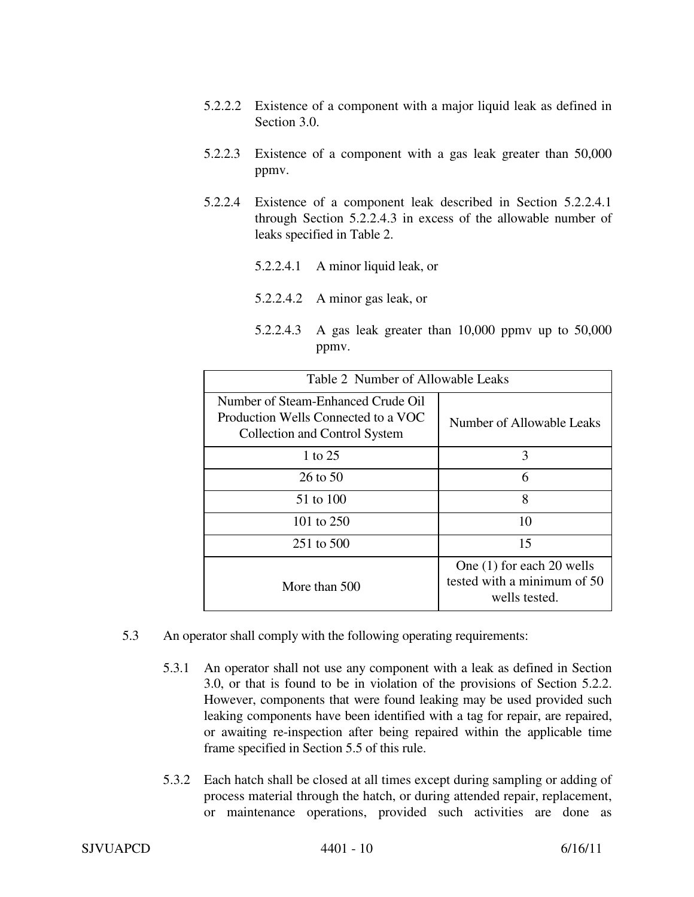- 5.2.2.2 Existence of a component with a major liquid leak as defined in Section 3.0.
- 5.2.2.3 Existence of a component with a gas leak greater than 50,000 ppmv.
- 5.2.2.4 Existence of a component leak described in Section 5.2.2.4.1 through Section 5.2.2.4.3 in excess of the allowable number of leaks specified in Table 2.
	- 5.2.2.4.1 A minor liquid leak, or
	- 5.2.2.4.2 A minor gas leak, or
	- 5.2.2.4.3 A gas leak greater than 10,000 ppmv up to 50,000 ppmv.

| Table 2 Number of Allowable Leaks                                                                          |                                                                             |  |
|------------------------------------------------------------------------------------------------------------|-----------------------------------------------------------------------------|--|
| Number of Steam-Enhanced Crude Oil<br>Production Wells Connected to a VOC<br>Collection and Control System | Number of Allowable Leaks                                                   |  |
| 1 to 25                                                                                                    | 3                                                                           |  |
| 26 to 50                                                                                                   | 6                                                                           |  |
| 51 to 100                                                                                                  | 8                                                                           |  |
| 101 to 250                                                                                                 | 10                                                                          |  |
| 251 to 500                                                                                                 | 15                                                                          |  |
| More than 500                                                                                              | One $(1)$ for each 20 wells<br>tested with a minimum of 50<br>wells tested. |  |

- 5.3 An operator shall comply with the following operating requirements:
	- 5.3.1 An operator shall not use any component with a leak as defined in Section 3.0, or that is found to be in violation of the provisions of Section 5.2.2. However, components that were found leaking may be used provided such leaking components have been identified with a tag for repair, are repaired, or awaiting re-inspection after being repaired within the applicable time frame specified in Section 5.5 of this rule.
	- 5.3.2 Each hatch shall be closed at all times except during sampling or adding of process material through the hatch, or during attended repair, replacement, or maintenance operations, provided such activities are done as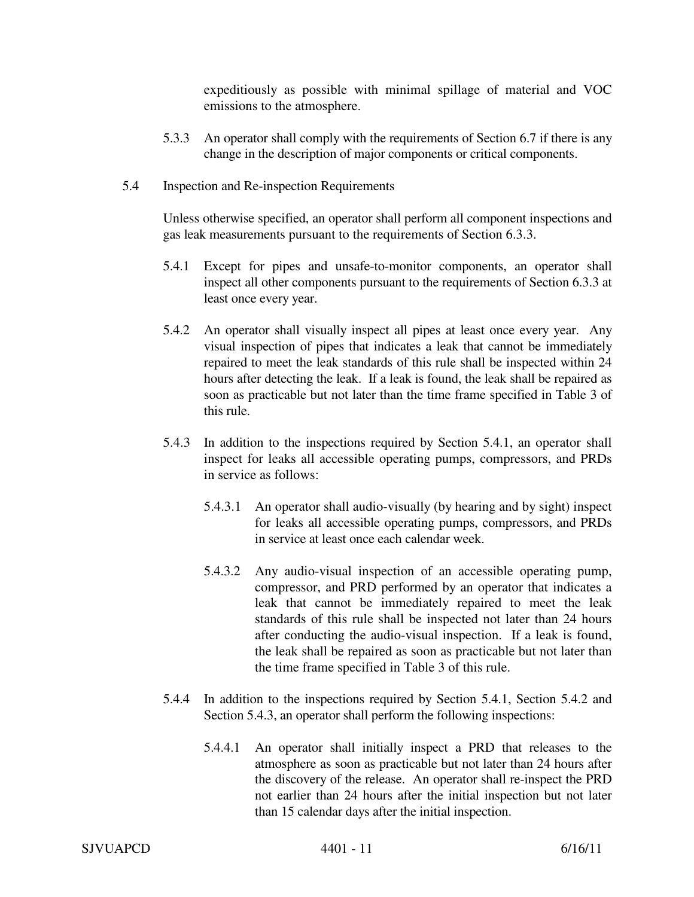expeditiously as possible with minimal spillage of material and VOC emissions to the atmosphere.

- 5.3.3 An operator shall comply with the requirements of Section 6.7 if there is any change in the description of major components or critical components.
- 5.4 Inspection and Re-inspection Requirements

Unless otherwise specified, an operator shall perform all component inspections and gas leak measurements pursuant to the requirements of Section 6.3.3.

- 5.4.1 Except for pipes and unsafe-to-monitor components, an operator shall inspect all other components pursuant to the requirements of Section 6.3.3 at least once every year.
- 5.4.2 An operator shall visually inspect all pipes at least once every year. Any visual inspection of pipes that indicates a leak that cannot be immediately repaired to meet the leak standards of this rule shall be inspected within 24 hours after detecting the leak. If a leak is found, the leak shall be repaired as soon as practicable but not later than the time frame specified in Table 3 of this rule.
- 5.4.3 In addition to the inspections required by Section 5.4.1, an operator shall inspect for leaks all accessible operating pumps, compressors, and PRDs in service as follows:
	- 5.4.3.1 An operator shall audio-visually (by hearing and by sight) inspect for leaks all accessible operating pumps, compressors, and PRDs in service at least once each calendar week.
	- 5.4.3.2 Any audio-visual inspection of an accessible operating pump, compressor, and PRD performed by an operator that indicates a leak that cannot be immediately repaired to meet the leak standards of this rule shall be inspected not later than 24 hours after conducting the audio-visual inspection. If a leak is found, the leak shall be repaired as soon as practicable but not later than the time frame specified in Table 3 of this rule.
- 5.4.4 In addition to the inspections required by Section 5.4.1, Section 5.4.2 and Section 5.4.3, an operator shall perform the following inspections:
	- 5.4.4.1 An operator shall initially inspect a PRD that releases to the atmosphere as soon as practicable but not later than 24 hours after the discovery of the release. An operator shall re-inspect the PRD not earlier than 24 hours after the initial inspection but not later than 15 calendar days after the initial inspection.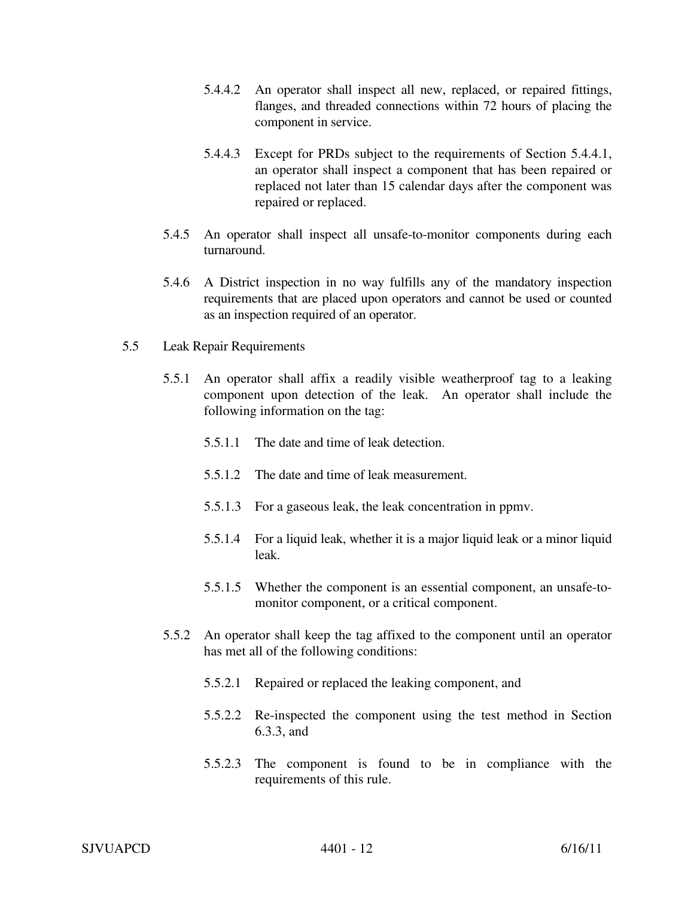- 5.4.4.2 An operator shall inspect all new, replaced, or repaired fittings, flanges, and threaded connections within 72 hours of placing the component in service.
- 5.4.4.3 Except for PRDs subject to the requirements of Section 5.4.4.1, an operator shall inspect a component that has been repaired or replaced not later than 15 calendar days after the component was repaired or replaced.
- 5.4.5 An operator shall inspect all unsafe-to-monitor components during each turnaround.
- 5.4.6 A District inspection in no way fulfills any of the mandatory inspection requirements that are placed upon operators and cannot be used or counted as an inspection required of an operator.
- 5.5 Leak Repair Requirements
	- 5.5.1 An operator shall affix a readily visible weatherproof tag to a leaking component upon detection of the leak. An operator shall include the following information on the tag:
		- 5.5.1.1 The date and time of leak detection.
		- 5.5.1.2 The date and time of leak measurement.
		- 5.5.1.3 For a gaseous leak, the leak concentration in ppmv.
		- 5.5.1.4 For a liquid leak, whether it is a major liquid leak or a minor liquid leak.
		- 5.5.1.5 Whether the component is an essential component, an unsafe-tomonitor component, or a critical component.
	- 5.5.2 An operator shall keep the tag affixed to the component until an operator has met all of the following conditions:
		- 5.5.2.1 Repaired or replaced the leaking component, and
		- 5.5.2.2 Re-inspected the component using the test method in Section 6.3.3, and
		- 5.5.2.3 The component is found to be in compliance with the requirements of this rule.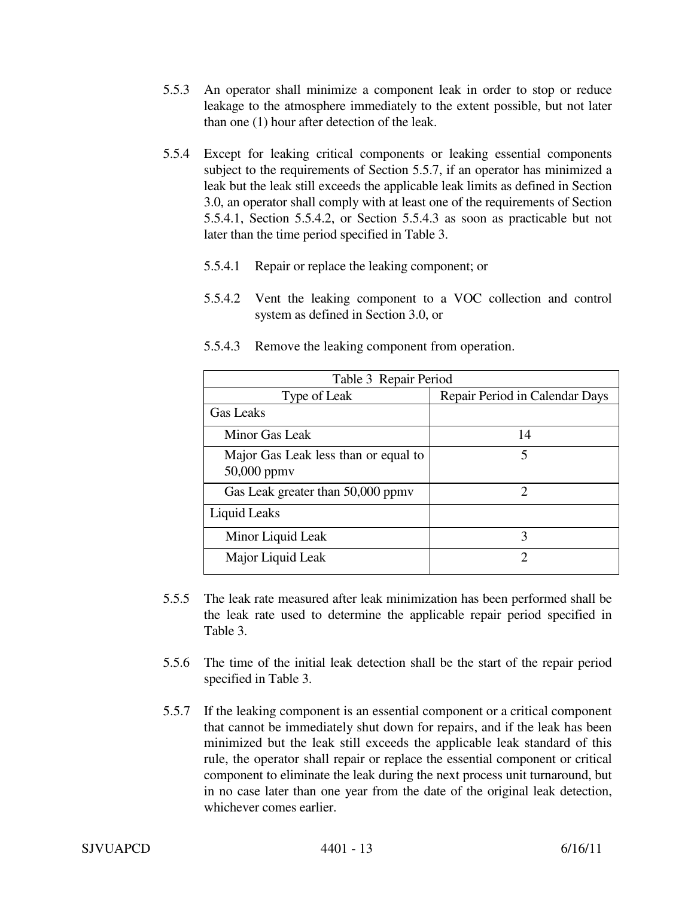- 5.5.3 An operator shall minimize a component leak in order to stop or reduce leakage to the atmosphere immediately to the extent possible, but not later than one (1) hour after detection of the leak.
- 5.5.4 Except for leaking critical components or leaking essential components subject to the requirements of Section 5.5.7, if an operator has minimized a leak but the leak still exceeds the applicable leak limits as defined in Section 3.0, an operator shall comply with at least one of the requirements of Section 5.5.4.1, Section 5.5.4.2, or Section 5.5.4.3 as soon as practicable but not later than the time period specified in Table 3.
	- 5.5.4.1 Repair or replace the leaking component; or
	- 5.5.4.2 Vent the leaking component to a VOC collection and control system as defined in Section 3.0, or

| Table 3 Repair Period                                    |                                |  |
|----------------------------------------------------------|--------------------------------|--|
| Type of Leak                                             | Repair Period in Calendar Days |  |
| <b>Gas Leaks</b>                                         |                                |  |
| Minor Gas Leak                                           | 14                             |  |
| Major Gas Leak less than or equal to<br>$50,000$ ppm $v$ | 5                              |  |
| Gas Leak greater than 50,000 ppmv                        | 2                              |  |
| Liquid Leaks                                             |                                |  |
| Minor Liquid Leak                                        | 3                              |  |
| Major Liquid Leak                                        | っ                              |  |

5.5.4.3 Remove the leaking component from operation.

- 5.5.5 The leak rate measured after leak minimization has been performed shall be the leak rate used to determine the applicable repair period specified in Table 3.
- 5.5.6 The time of the initial leak detection shall be the start of the repair period specified in Table 3.
- 5.5.7 If the leaking component is an essential component or a critical component that cannot be immediately shut down for repairs, and if the leak has been minimized but the leak still exceeds the applicable leak standard of this rule, the operator shall repair or replace the essential component or critical component to eliminate the leak during the next process unit turnaround, but in no case later than one year from the date of the original leak detection, whichever comes earlier.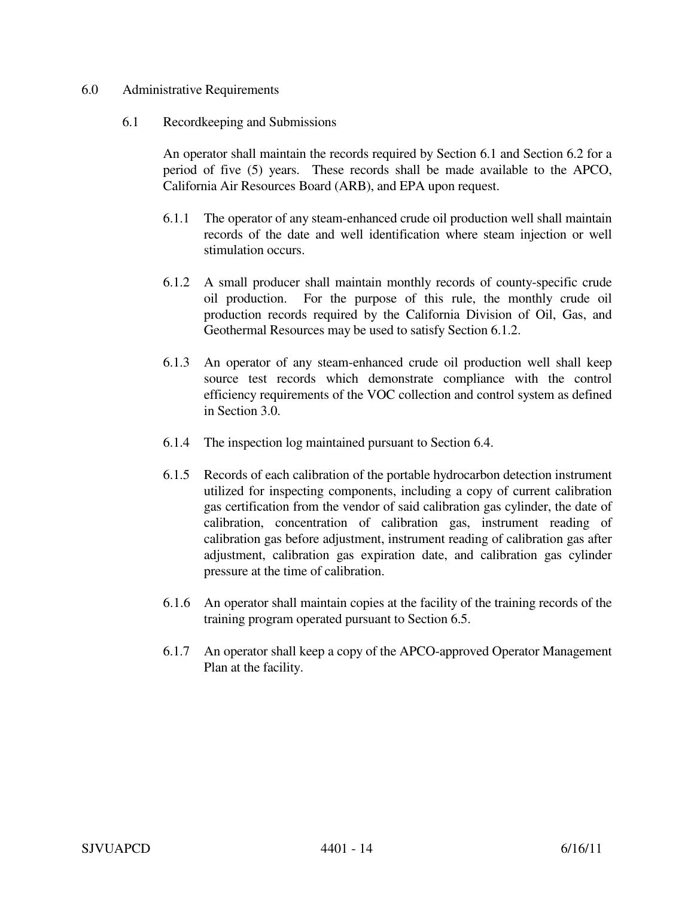### 6.0 Administrative Requirements

#### 6.1 Recordkeeping and Submissions

An operator shall maintain the records required by Section 6.1 and Section 6.2 for a period of five (5) years. These records shall be made available to the APCO, California Air Resources Board (ARB), and EPA upon request.

- 6.1.1 The operator of any steam-enhanced crude oil production well shall maintain records of the date and well identification where steam injection or well stimulation occurs.
- 6.1.2 A small producer shall maintain monthly records of county-specific crude oil production. For the purpose of this rule, the monthly crude oil production records required by the California Division of Oil, Gas, and Geothermal Resources may be used to satisfy Section 6.1.2.
- 6.1.3 An operator of any steam-enhanced crude oil production well shall keep source test records which demonstrate compliance with the control efficiency requirements of the VOC collection and control system as defined in Section 3.0.
- 6.1.4 The inspection log maintained pursuant to Section 6.4.
- 6.1.5 Records of each calibration of the portable hydrocarbon detection instrument utilized for inspecting components, including a copy of current calibration gas certification from the vendor of said calibration gas cylinder, the date of calibration, concentration of calibration gas, instrument reading of calibration gas before adjustment, instrument reading of calibration gas after adjustment, calibration gas expiration date, and calibration gas cylinder pressure at the time of calibration.
- 6.1.6 An operator shall maintain copies at the facility of the training records of the training program operated pursuant to Section 6.5.
- 6.1.7 An operator shall keep a copy of the APCO-approved Operator Management Plan at the facility.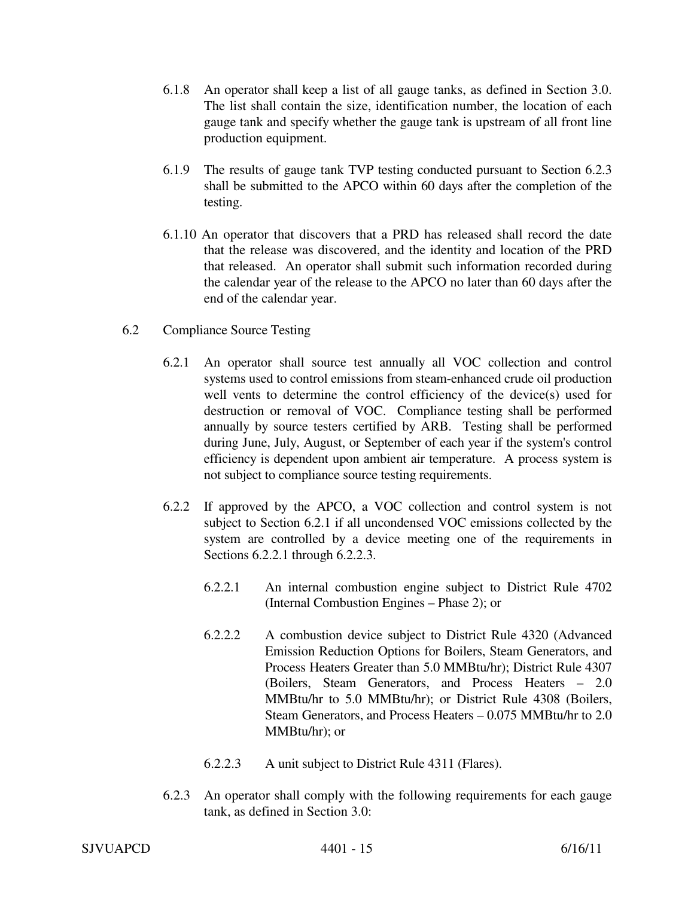- 6.1.8 An operator shall keep a list of all gauge tanks, as defined in Section 3.0. The list shall contain the size, identification number, the location of each gauge tank and specify whether the gauge tank is upstream of all front line production equipment.
- 6.1.9 The results of gauge tank TVP testing conducted pursuant to Section 6.2.3 shall be submitted to the APCO within 60 days after the completion of the testing.
- 6.1.10 An operator that discovers that a PRD has released shall record the date that the release was discovered, and the identity and location of the PRD that released. An operator shall submit such information recorded during the calendar year of the release to the APCO no later than 60 days after the end of the calendar year.
- 6.2 Compliance Source Testing
	- 6.2.1 An operator shall source test annually all VOC collection and control systems used to control emissions from steam-enhanced crude oil production well vents to determine the control efficiency of the device(s) used for destruction or removal of VOC. Compliance testing shall be performed annually by source testers certified by ARB. Testing shall be performed during June, July, August, or September of each year if the system's control efficiency is dependent upon ambient air temperature. A process system is not subject to compliance source testing requirements.
	- 6.2.2 If approved by the APCO, a VOC collection and control system is not subject to Section 6.2.1 if all uncondensed VOC emissions collected by the system are controlled by a device meeting one of the requirements in Sections 6.2.2.1 through 6.2.2.3.
		- 6.2.2.1 An internal combustion engine subject to District Rule 4702 (Internal Combustion Engines – Phase 2); or
		- 6.2.2.2 A combustion device subject to District Rule 4320 (Advanced Emission Reduction Options for Boilers, Steam Generators, and Process Heaters Greater than 5.0 MMBtu/hr); District Rule 4307 (Boilers, Steam Generators, and Process Heaters – 2.0 MMBtu/hr to 5.0 MMBtu/hr); or District Rule 4308 (Boilers, Steam Generators, and Process Heaters – 0.075 MMBtu/hr to 2.0 MMBtu/hr); or
		- 6.2.2.3 A unit subject to District Rule 4311 (Flares).
	- 6.2.3 An operator shall comply with the following requirements for each gauge tank, as defined in Section 3.0: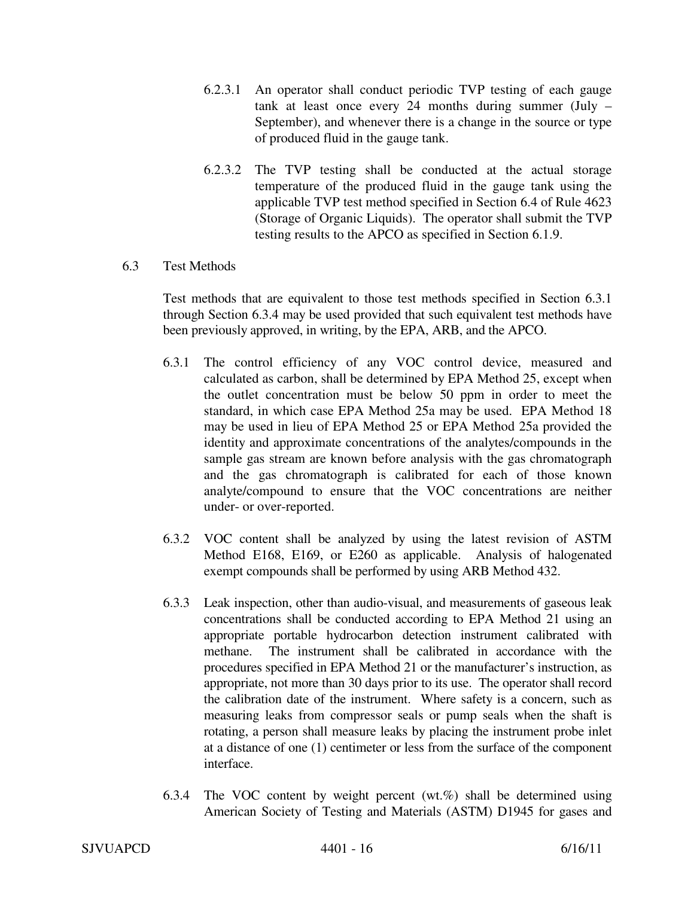- 6.2.3.1 An operator shall conduct periodic TVP testing of each gauge tank at least once every 24 months during summer (July – September), and whenever there is a change in the source or type of produced fluid in the gauge tank.
- 6.2.3.2 The TVP testing shall be conducted at the actual storage temperature of the produced fluid in the gauge tank using the applicable TVP test method specified in Section 6.4 of Rule 4623 (Storage of Organic Liquids). The operator shall submit the TVP testing results to the APCO as specified in Section 6.1.9.

## 6.3 Test Methods

Test methods that are equivalent to those test methods specified in Section 6.3.1 through Section 6.3.4 may be used provided that such equivalent test methods have been previously approved, in writing, by the EPA, ARB, and the APCO.

- 6.3.1 The control efficiency of any VOC control device, measured and calculated as carbon, shall be determined by EPA Method 25, except when the outlet concentration must be below 50 ppm in order to meet the standard, in which case EPA Method 25a may be used. EPA Method 18 may be used in lieu of EPA Method 25 or EPA Method 25a provided the identity and approximate concentrations of the analytes/compounds in the sample gas stream are known before analysis with the gas chromatograph and the gas chromatograph is calibrated for each of those known analyte/compound to ensure that the VOC concentrations are neither under- or over-reported.
- 6.3.2 VOC content shall be analyzed by using the latest revision of ASTM Method E168, E169, or E260 as applicable. Analysis of halogenated exempt compounds shall be performed by using ARB Method 432.
- 6.3.3 Leak inspection, other than audio-visual, and measurements of gaseous leak concentrations shall be conducted according to EPA Method 21 using an appropriate portable hydrocarbon detection instrument calibrated with methane. The instrument shall be calibrated in accordance with the procedures specified in EPA Method 21 or the manufacturer's instruction, as appropriate, not more than 30 days prior to its use. The operator shall record the calibration date of the instrument. Where safety is a concern, such as measuring leaks from compressor seals or pump seals when the shaft is rotating, a person shall measure leaks by placing the instrument probe inlet at a distance of one (1) centimeter or less from the surface of the component interface.
- 6.3.4 The VOC content by weight percent (wt.%) shall be determined using American Society of Testing and Materials (ASTM) D1945 for gases and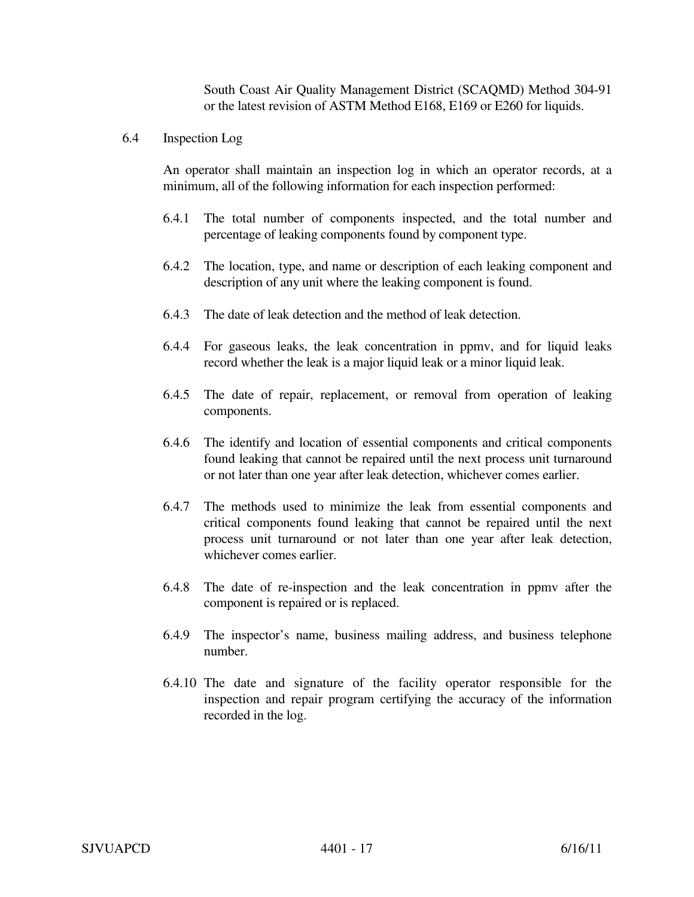South Coast Air Quality Management District (SCAQMD) Method 304-91 or the latest revision of ASTM Method E168, E169 or E260 for liquids.

6.4 Inspection Log

An operator shall maintain an inspection log in which an operator records, at a minimum, all of the following information for each inspection performed:

- 6.4.1 The total number of components inspected, and the total number and percentage of leaking components found by component type.
- 6.4.2 The location, type, and name or description of each leaking component and description of any unit where the leaking component is found.
- 6.4.3 The date of leak detection and the method of leak detection.
- 6.4.4 For gaseous leaks, the leak concentration in ppmv, and for liquid leaks record whether the leak is a major liquid leak or a minor liquid leak.
- 6.4.5 The date of repair, replacement, or removal from operation of leaking components.
- 6.4.6 The identify and location of essential components and critical components found leaking that cannot be repaired until the next process unit turnaround or not later than one year after leak detection, whichever comes earlier.
- 6.4.7 The methods used to minimize the leak from essential components and critical components found leaking that cannot be repaired until the next process unit turnaround or not later than one year after leak detection, whichever comes earlier.
- 6.4.8 The date of re-inspection and the leak concentration in ppmv after the component is repaired or is replaced.
- 6.4.9 The inspector's name, business mailing address, and business telephone number.
- 6.4.10 The date and signature of the facility operator responsible for the inspection and repair program certifying the accuracy of the information recorded in the log.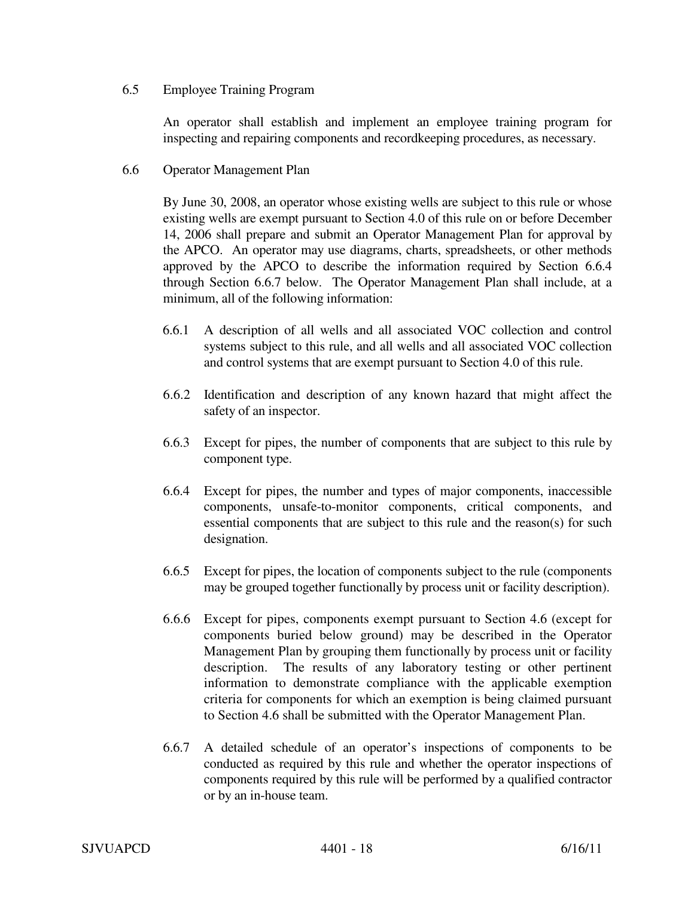# 6.5 Employee Training Program

An operator shall establish and implement an employee training program for inspecting and repairing components and recordkeeping procedures, as necessary.

6.6 Operator Management Plan

By June 30, 2008, an operator whose existing wells are subject to this rule or whose existing wells are exempt pursuant to Section 4.0 of this rule on or before December 14, 2006 shall prepare and submit an Operator Management Plan for approval by the APCO. An operator may use diagrams, charts, spreadsheets, or other methods approved by the APCO to describe the information required by Section 6.6.4 through Section 6.6.7 below. The Operator Management Plan shall include, at a minimum, all of the following information:

- 6.6.1 A description of all wells and all associated VOC collection and control systems subject to this rule, and all wells and all associated VOC collection and control systems that are exempt pursuant to Section 4.0 of this rule.
- 6.6.2 Identification and description of any known hazard that might affect the safety of an inspector.
- 6.6.3 Except for pipes, the number of components that are subject to this rule by component type.
- 6.6.4 Except for pipes, the number and types of major components, inaccessible components, unsafe-to-monitor components, critical components, and essential components that are subject to this rule and the reason(s) for such designation.
- 6.6.5 Except for pipes, the location of components subject to the rule (components may be grouped together functionally by process unit or facility description).
- 6.6.6 Except for pipes, components exempt pursuant to Section 4.6 (except for components buried below ground) may be described in the Operator Management Plan by grouping them functionally by process unit or facility description. The results of any laboratory testing or other pertinent information to demonstrate compliance with the applicable exemption criteria for components for which an exemption is being claimed pursuant to Section 4.6 shall be submitted with the Operator Management Plan.
- 6.6.7 A detailed schedule of an operator's inspections of components to be conducted as required by this rule and whether the operator inspections of components required by this rule will be performed by a qualified contractor or by an in-house team.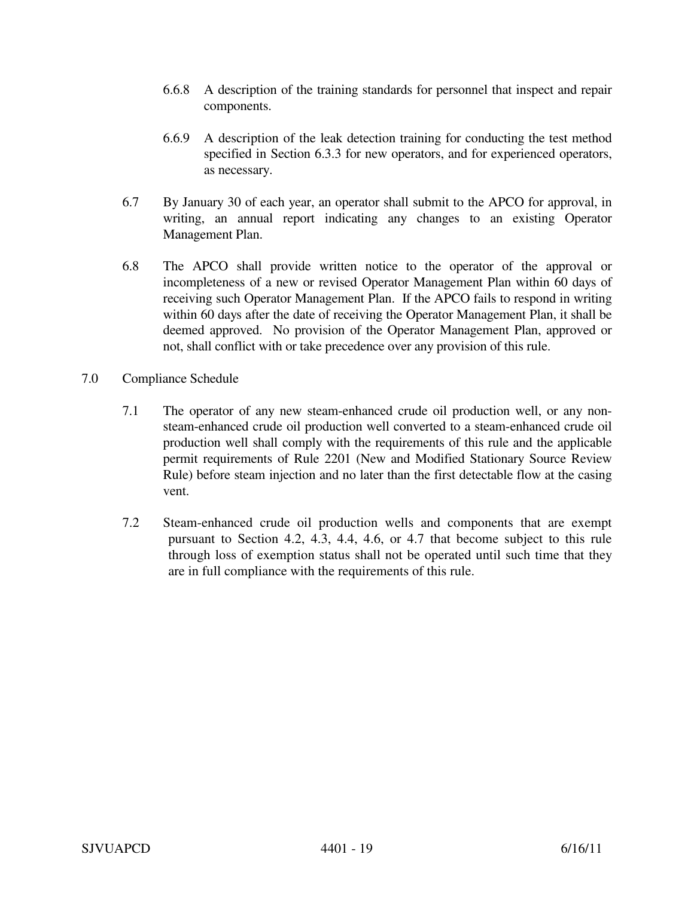- 6.6.8 A description of the training standards for personnel that inspect and repair components.
- 6.6.9 A description of the leak detection training for conducting the test method specified in Section 6.3.3 for new operators, and for experienced operators, as necessary.
- 6.7 By January 30 of each year, an operator shall submit to the APCO for approval, in writing, an annual report indicating any changes to an existing Operator Management Plan.
- 6.8 The APCO shall provide written notice to the operator of the approval or incompleteness of a new or revised Operator Management Plan within 60 days of receiving such Operator Management Plan. If the APCO fails to respond in writing within 60 days after the date of receiving the Operator Management Plan, it shall be deemed approved. No provision of the Operator Management Plan, approved or not, shall conflict with or take precedence over any provision of this rule.
- 7.0 Compliance Schedule
	- 7.1 The operator of any new steam-enhanced crude oil production well, or any nonsteam-enhanced crude oil production well converted to a steam-enhanced crude oil production well shall comply with the requirements of this rule and the applicable permit requirements of Rule 2201 (New and Modified Stationary Source Review Rule) before steam injection and no later than the first detectable flow at the casing vent.
	- 7.2 Steam-enhanced crude oil production wells and components that are exempt pursuant to Section 4.2, 4.3, 4.4, 4.6, or 4.7 that become subject to this rule through loss of exemption status shall not be operated until such time that they are in full compliance with the requirements of this rule.